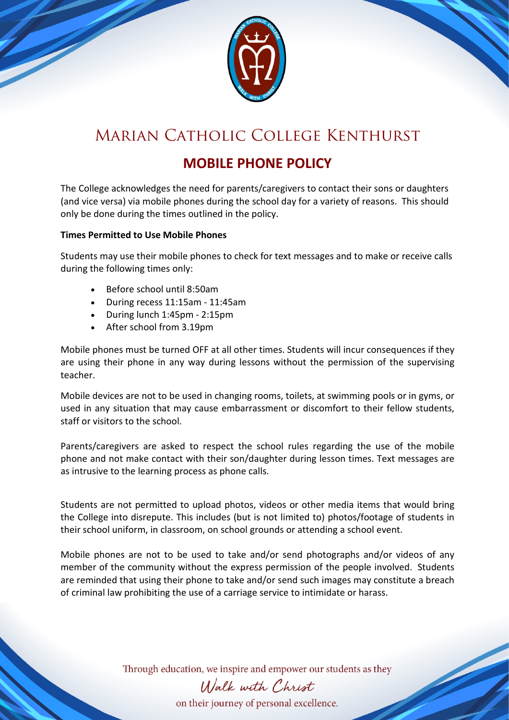

# Marian Catholic College Kenthurst

### **MOBILE PHONE POLICY**

The College acknowledges the need for parents/caregivers to contact their sons or daughters (and vice versa) via mobile phones during the school day for a variety of reasons. This should only be done during the times outlined in the policy.

### **Times Permitted to Use Mobile Phones**

Students may use their mobile phones to check for text messages and to make or receive calls during the following times only:

- Before school until 8:50am
- During recess 11:15am 11:45am
- During lunch 1:45pm 2:15pm
- After school from 3.19pm

Mobile phones must be turned OFF at all other times. Students will incur consequences if they are using their phone in any way during lessons without the permission of the supervising teacher.

Mobile devices are not to be used in changing rooms, toilets, at swimming pools or in gyms, or used in any situation that may cause embarrassment or discomfort to their fellow students, staff or visitors to the school.

Parents/caregivers are asked to respect the school rules regarding the use of the mobile phone and not make contact with their son/daughter during lesson times. Text messages are as intrusive to the learning process as phone calls.

Students are not permitted to upload photos, videos or other media items that would bring the College into disrepute. This includes (but is not limited to) photos/footage of students in their school uniform, in classroom, on school grounds or attending a school event.

Mobile phones are not to be used to take and/or send photographs and/or videos of any member of the community without the express permission of the people involved. Students are reminded that using their phone to take and/or send such images may constitute a breach of criminal law prohibiting the use of a carriage service to intimidate or harass.

Through education, we inspire and empower our students as they

# Walk with Christ

on their journey of personal excellence.